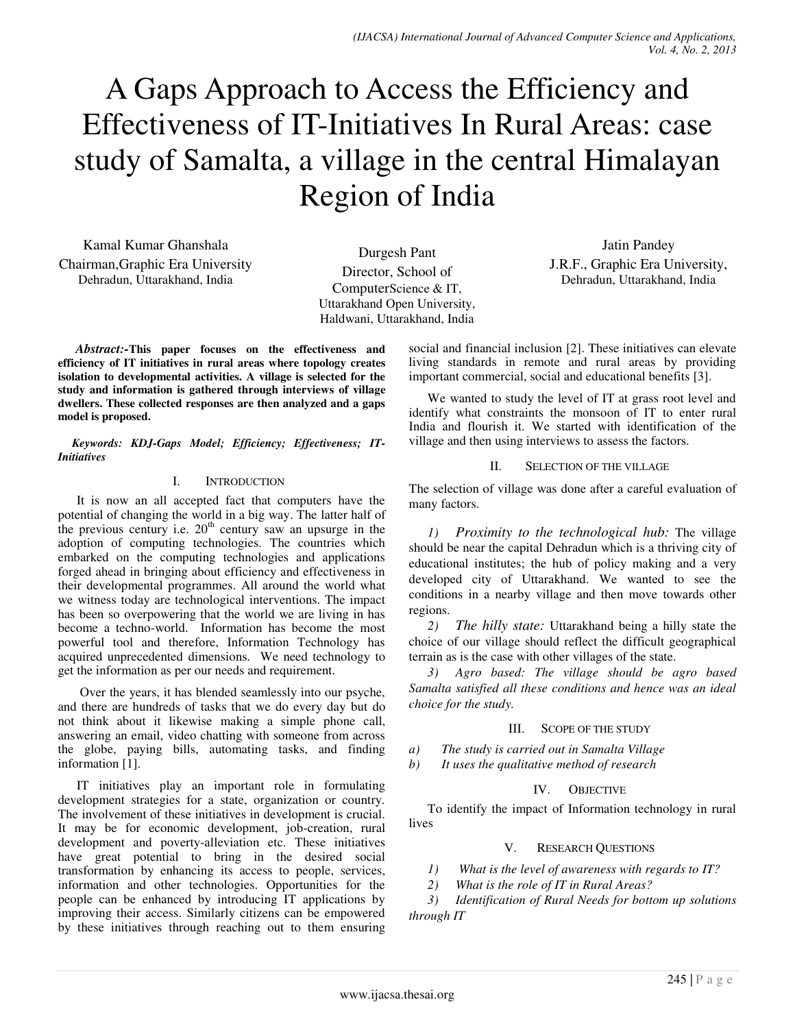# A Gaps Approach to Access the Efficiency and Effectiveness of IT-Initiatives In Rural Areas: case study of Samalta, a village in the central Himalayan Region of India

Kamal Kumar Ghanshala Chairman,Graphic Era University Dehradun, Uttarakhand, India

Durgesh Pant Director, School of ComputerScience & IT, Uttarakhand Open University, Haldwani, Uttarakhand, India

Jatin Pandey J.R.F., Graphic Era University, Dehradun, Uttarakhand, India

*Abstract:-***This paper focuses on the effectiveness and efficiency of IT initiatives in rural areas where topology creates isolation to developmental activities. A village is selected for the study and information is gathered through interviews of village dwellers. These collected responses are then analyzed and a gaps model is proposed.**

*Keywords: KDJ-Gaps Model; Efficiency; Effectiveness; IT-Initiatives* 

# I. INTRODUCTION

It is now an all accepted fact that computers have the potential of changing the world in a big way. The latter half of the previous century i.e.  $20<sup>th</sup>$  century saw an upsurge in the adoption of computing technologies. The countries which embarked on the computing technologies and applications forged ahead in bringing about efficiency and effectiveness in their developmental programmes. All around the world what we witness today are technological interventions. The impact has been so overpowering that the world we are living in has become a techno-world. Information has become the most powerful tool and therefore, Information Technology has acquired unprecedented dimensions. We need technology to get the information as per our needs and requirement.

 Over the years, it has blended seamlessly into our psyche, and there are hundreds of tasks that we do every day but do not think about it likewise making a simple phone call, answering an email, video chatting with someone from across the globe, paying bills, automating tasks, and finding information [1].

IT initiatives play an important role in formulating development strategies for a state, organization or country. The involvement of these initiatives in development is crucial. It may be for economic development, job-creation, rural development and poverty-alleviation etc. These initiatives have great potential to bring in the desired social transformation by enhancing its access to people, services, information and other technologies. Opportunities for the people can be enhanced by introducing IT applications by improving their access. Similarly citizens can be empowered by these initiatives through reaching out to them ensuring

social and financial inclusion [2]. These initiatives can elevate living standards in remote and rural areas by providing important commercial, social and educational benefits [3].

We wanted to study the level of IT at grass root level and identify what constraints the monsoon of IT to enter rural India and flourish it. We started with identification of the village and then using interviews to assess the factors.

## II. SELECTION OF THE VILLAGE

The selection of village was done after a careful evaluation of many factors.

*1) Proximity to the technological hub:* The village should be near the capital Dehradun which is a thriving city of educational institutes; the hub of policy making and a very developed city of Uttarakhand. We wanted to see the conditions in a nearby village and then move towards other regions.

*2) The hilly state:* Uttarakhand being a hilly state the choice of our village should reflect the difficult geographical terrain as is the case with other villages of the state.

*3) Agro based: The village should be agro based Samalta satisfied all these conditions and hence was an ideal choice for the study.* 

# III. SCOPE OF THE STUDY

*a) The study is carried out in Samalta Village* 

*b) It uses the qualitative method of research* 

# IV. OBJECTIVE

To identify the impact of Information technology in rural lives

# V. RESEARCH QUESTIONS

*1) What is the level of awareness with regards to IT?* 

*2) What is the role of IT in Rural Areas?* 

*3) Identification of Rural Needs for bottom up solutions through IT*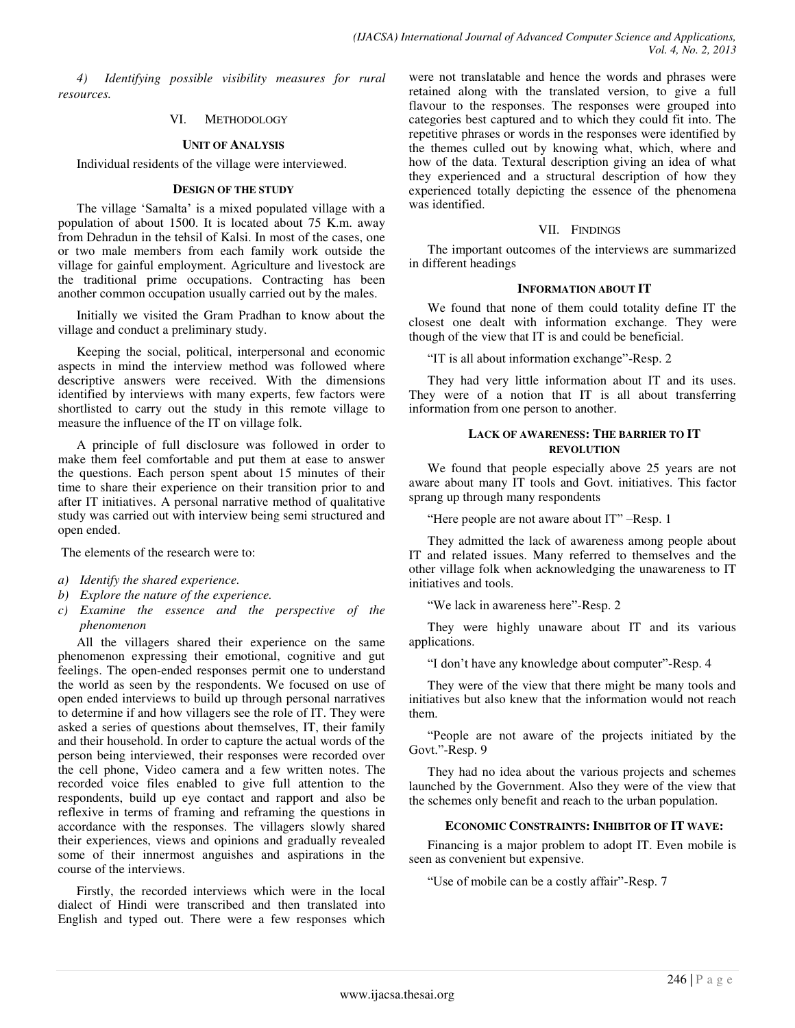*4) Identifying possible visibility measures for rural resources.* 

#### VI. METHODOLOGY

#### **UNIT OF ANALYSIS**

Individual residents of the village were interviewed.

#### **DESIGN OF THE STUDY**

The village 'Samalta' is a mixed populated village with a population of about 1500. It is located about 75 K.m. away from Dehradun in the tehsil of Kalsi. In most of the cases, one or two male members from each family work outside the village for gainful employment. Agriculture and livestock are the traditional prime occupations. Contracting has been another common occupation usually carried out by the males.

Initially we visited the Gram Pradhan to know about the village and conduct a preliminary study.

Keeping the social, political, interpersonal and economic aspects in mind the interview method was followed where descriptive answers were received. With the dimensions identified by interviews with many experts, few factors were shortlisted to carry out the study in this remote village to measure the influence of the IT on village folk.

A principle of full disclosure was followed in order to make them feel comfortable and put them at ease to answer the questions. Each person spent about 15 minutes of their time to share their experience on their transition prior to and after IT initiatives. A personal narrative method of qualitative study was carried out with interview being semi structured and open ended.

The elements of the research were to:

- *a) Identify the shared experience.*
- *b) Explore the nature of the experience.*
- *c) Examine the essence and the perspective of the phenomenon*

All the villagers shared their experience on the same phenomenon expressing their emotional, cognitive and gut feelings. The open-ended responses permit one to understand the world as seen by the respondents. We focused on use of open ended interviews to build up through personal narratives to determine if and how villagers see the role of IT. They were asked a series of questions about themselves, IT, their family and their household. In order to capture the actual words of the person being interviewed, their responses were recorded over the cell phone, Video camera and a few written notes. The recorded voice files enabled to give full attention to the respondents, build up eye contact and rapport and also be reflexive in terms of framing and reframing the questions in accordance with the responses. The villagers slowly shared their experiences, views and opinions and gradually revealed some of their innermost anguishes and aspirations in the course of the interviews.

Firstly, the recorded interviews which were in the local dialect of Hindi were transcribed and then translated into English and typed out. There were a few responses which were not translatable and hence the words and phrases were retained along with the translated version, to give a full flavour to the responses. The responses were grouped into categories best captured and to which they could fit into. The repetitive phrases or words in the responses were identified by the themes culled out by knowing what, which, where and how of the data. Textural description giving an idea of what they experienced and a structural description of how they experienced totally depicting the essence of the phenomena was identified.

#### VII. FINDINGS

The important outcomes of the interviews are summarized in different headings

#### **INFORMATION ABOUT IT**

We found that none of them could totality define IT the closest one dealt with information exchange. They were though of the view that IT is and could be beneficial.

"IT is all about information exchange"-Resp. 2

They had very little information about IT and its uses. They were of a notion that IT is all about transferring information from one person to another.

## **LACK OF AWARENESS: THE BARRIER TO IT REVOLUTION**

We found that people especially above 25 years are not aware about many IT tools and Govt. initiatives. This factor sprang up through many respondents

"Here people are not aware about IT" –Resp. 1

They admitted the lack of awareness among people about IT and related issues. Many referred to themselves and the other village folk when acknowledging the unawareness to IT initiatives and tools.

"We lack in awareness here"-Resp. 2

They were highly unaware about IT and its various applications.

"I don't have any knowledge about computer"-Resp. 4

They were of the view that there might be many tools and initiatives but also knew that the information would not reach them.

"People are not aware of the projects initiated by the Govt."-Resp. 9

They had no idea about the various projects and schemes launched by the Government. Also they were of the view that the schemes only benefit and reach to the urban population.

#### **ECONOMIC CONSTRAINTS: INHIBITOR OF IT WAVE:**

Financing is a major problem to adopt IT. Even mobile is seen as convenient but expensive.

"Use of mobile can be a costly affair"-Resp. 7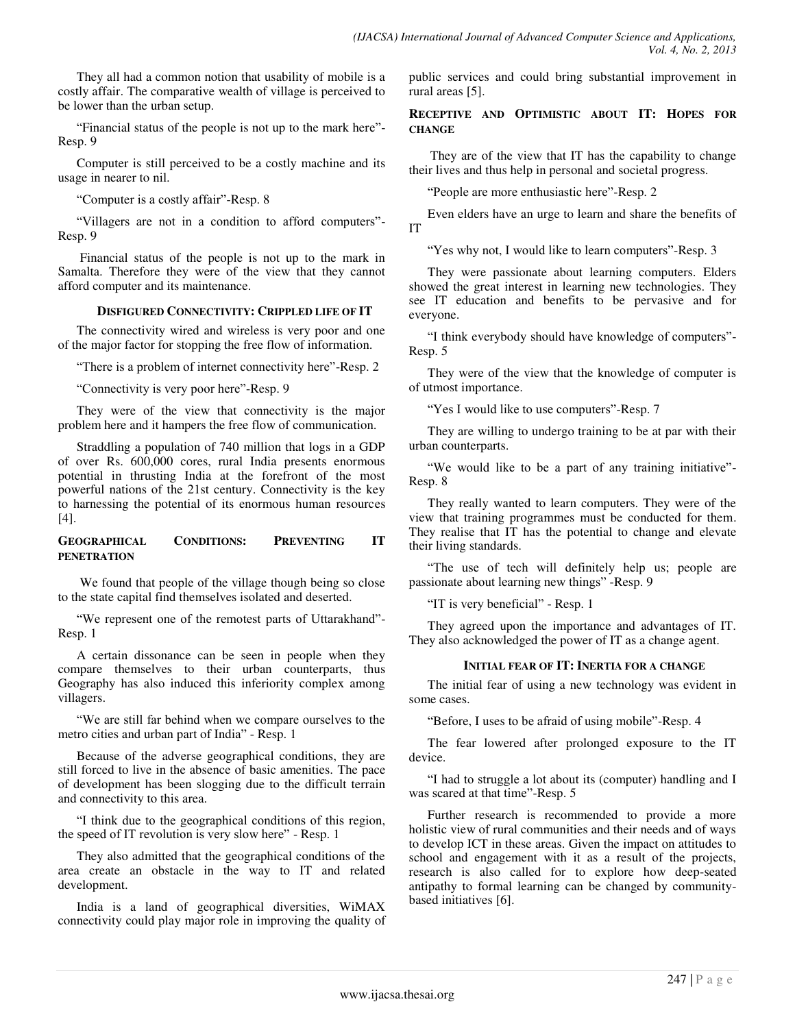They all had a common notion that usability of mobile is a costly affair. The comparative wealth of village is perceived to be lower than the urban setup.

"Financial status of the people is not up to the mark here"- Resp. 9

Computer is still perceived to be a costly machine and its usage in nearer to nil.

"Computer is a costly affair"-Resp. 8

"Villagers are not in a condition to afford computers"- Resp. 9

 Financial status of the people is not up to the mark in Samalta. Therefore they were of the view that they cannot afford computer and its maintenance.

# **DISFIGURED CONNECTIVITY: CRIPPLED LIFE OF IT**

The connectivity wired and wireless is very poor and one of the major factor for stopping the free flow of information.

"There is a problem of internet connectivity here"-Resp. 2

"Connectivity is very poor here"-Resp. 9

They were of the view that connectivity is the major problem here and it hampers the free flow of communication.

Straddling a population of 740 million that logs in a GDP of over Rs. 600,000 cores, rural India presents enormous potential in thrusting India at the forefront of the most powerful nations of the 21st century. Connectivity is the key to harnessing the potential of its enormous human resources [4].

# **GEOGRAPHICAL CONDITIONS: PREVENTING IT PENETRATION**

 We found that people of the village though being so close to the state capital find themselves isolated and deserted.

"We represent one of the remotest parts of Uttarakhand"- Resp. 1

A certain dissonance can be seen in people when they compare themselves to their urban counterparts, thus Geography has also induced this inferiority complex among villagers.

"We are still far behind when we compare ourselves to the metro cities and urban part of India" - Resp. 1

Because of the adverse geographical conditions, they are still forced to live in the absence of basic amenities. The pace of development has been slogging due to the difficult terrain and connectivity to this area.

"I think due to the geographical conditions of this region, the speed of IT revolution is very slow here" - Resp. 1

They also admitted that the geographical conditions of the area create an obstacle in the way to IT and related development.

India is a land of geographical diversities, WiMAX connectivity could play major role in improving the quality of public services and could bring substantial improvement in rural areas [5].

# **RECEPTIVE AND OPTIMISTIC ABOUT IT: HOPES FOR CHANGE**

They are of the view that IT has the capability to change their lives and thus help in personal and societal progress.

"People are more enthusiastic here"-Resp. 2

Even elders have an urge to learn and share the benefits of IT

"Yes why not, I would like to learn computers"-Resp. 3

They were passionate about learning computers. Elders showed the great interest in learning new technologies. They see IT education and benefits to be pervasive and for everyone.

"I think everybody should have knowledge of computers"- Resp. 5

They were of the view that the knowledge of computer is of utmost importance.

"Yes I would like to use computers"-Resp. 7

They are willing to undergo training to be at par with their urban counterparts.

"We would like to be a part of any training initiative"- Resp. 8

They really wanted to learn computers. They were of the view that training programmes must be conducted for them. They realise that IT has the potential to change and elevate their living standards.

"The use of tech will definitely help us; people are passionate about learning new things" -Resp. 9

"IT is very beneficial" - Resp. 1

They agreed upon the importance and advantages of IT. They also acknowledged the power of IT as a change agent.

## **INITIAL FEAR OF IT: INERTIA FOR A CHANGE**

The initial fear of using a new technology was evident in some cases.

"Before, I uses to be afraid of using mobile"-Resp. 4

The fear lowered after prolonged exposure to the IT device.

"I had to struggle a lot about its (computer) handling and I was scared at that time"-Resp. 5

Further research is recommended to provide a more holistic view of rural communities and their needs and of ways to develop ICT in these areas. Given the impact on attitudes to school and engagement with it as a result of the projects, research is also called for to explore how deep-seated antipathy to formal learning can be changed by communitybased initiatives [6].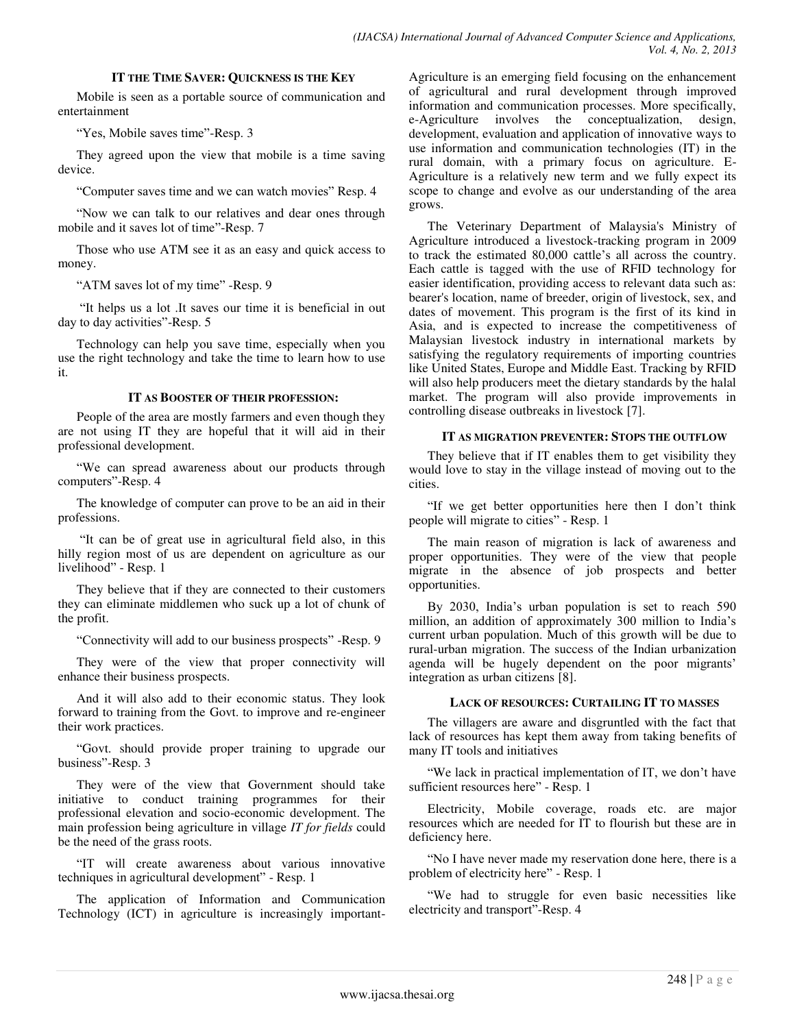#### **IT THE TIME SAVER: QUICKNESS IS THE KEY**

Mobile is seen as a portable source of communication and entertainment

"Yes, Mobile saves time"-Resp. 3

They agreed upon the view that mobile is a time saving device.

"Computer saves time and we can watch movies" Resp. 4

"Now we can talk to our relatives and dear ones through mobile and it saves lot of time"-Resp. 7

Those who use ATM see it as an easy and quick access to money.

"ATM saves lot of my time" -Resp. 9

"It helps us a lot .It saves our time it is beneficial in out day to day activities"-Resp. 5

Technology can help you save time, especially when you use the right technology and take the time to learn how to use it.

#### **IT AS BOOSTER OF THEIR PROFESSION:**

People of the area are mostly farmers and even though they are not using IT they are hopeful that it will aid in their professional development.

"We can spread awareness about our products through computers"-Resp. 4

The knowledge of computer can prove to be an aid in their professions.

"It can be of great use in agricultural field also, in this hilly region most of us are dependent on agriculture as our livelihood" - Resp. 1

They believe that if they are connected to their customers they can eliminate middlemen who suck up a lot of chunk of the profit.

"Connectivity will add to our business prospects" -Resp. 9

They were of the view that proper connectivity will enhance their business prospects.

And it will also add to their economic status. They look forward to training from the Govt. to improve and re-engineer their work practices.

"Govt. should provide proper training to upgrade our business"-Resp. 3

They were of the view that Government should take initiative to conduct training programmes for their professional elevation and socio-economic development. The main profession being agriculture in village *IT for fields* could be the need of the grass roots.

"IT will create awareness about various innovative techniques in agricultural development" - Resp. 1

The application of Information and Communication Technology (ICT) in agriculture is increasingly importantAgriculture is an emerging field focusing on the enhancement of agricultural and rural development through improved information and communication processes. More specifically, e-Agriculture involves the conceptualization, design, development, evaluation and application of innovative ways to use information and communication technologies (IT) in the rural domain, with a primary focus on agriculture. E-Agriculture is a relatively new term and we fully expect its scope to change and evolve as our understanding of the area grows.

The Veterinary Department of Malaysia's Ministry of Agriculture introduced a livestock-tracking program in 2009 to track the estimated 80,000 cattle's all across the country. Each cattle is tagged with the use of RFID technology for easier identification, providing access to relevant data such as: bearer's location, name of breeder, origin of livestock, sex, and dates of movement. This program is the first of its kind in Asia, and is expected to increase the competitiveness of Malaysian livestock industry in international markets by satisfying the regulatory requirements of importing countries like United States, Europe and Middle East. Tracking by RFID will also help producers meet the dietary standards by the halal market. The program will also provide improvements in controlling disease outbreaks in livestock [7].

#### **IT AS MIGRATION PREVENTER: STOPS THE OUTFLOW**

They believe that if IT enables them to get visibility they would love to stay in the village instead of moving out to the cities.

"If we get better opportunities here then I don't think people will migrate to cities" - Resp. 1

The main reason of migration is lack of awareness and proper opportunities. They were of the view that people migrate in the absence of job prospects and better opportunities.

By 2030, India's urban population is set to reach 590 million, an addition of approximately 300 million to India's current urban population. Much of this growth will be due to rural-urban migration. The success of the Indian urbanization agenda will be hugely dependent on the poor migrants' integration as urban citizens [8].

## **LACK OF RESOURCES: CURTAILING IT TO MASSES**

The villagers are aware and disgruntled with the fact that lack of resources has kept them away from taking benefits of many IT tools and initiatives

"We lack in practical implementation of IT, we don't have sufficient resources here" - Resp. 1

Electricity, Mobile coverage, roads etc. are major resources which are needed for IT to flourish but these are in deficiency here.

"No I have never made my reservation done here, there is a problem of electricity here" - Resp. 1

"We had to struggle for even basic necessities like electricity and transport"-Resp. 4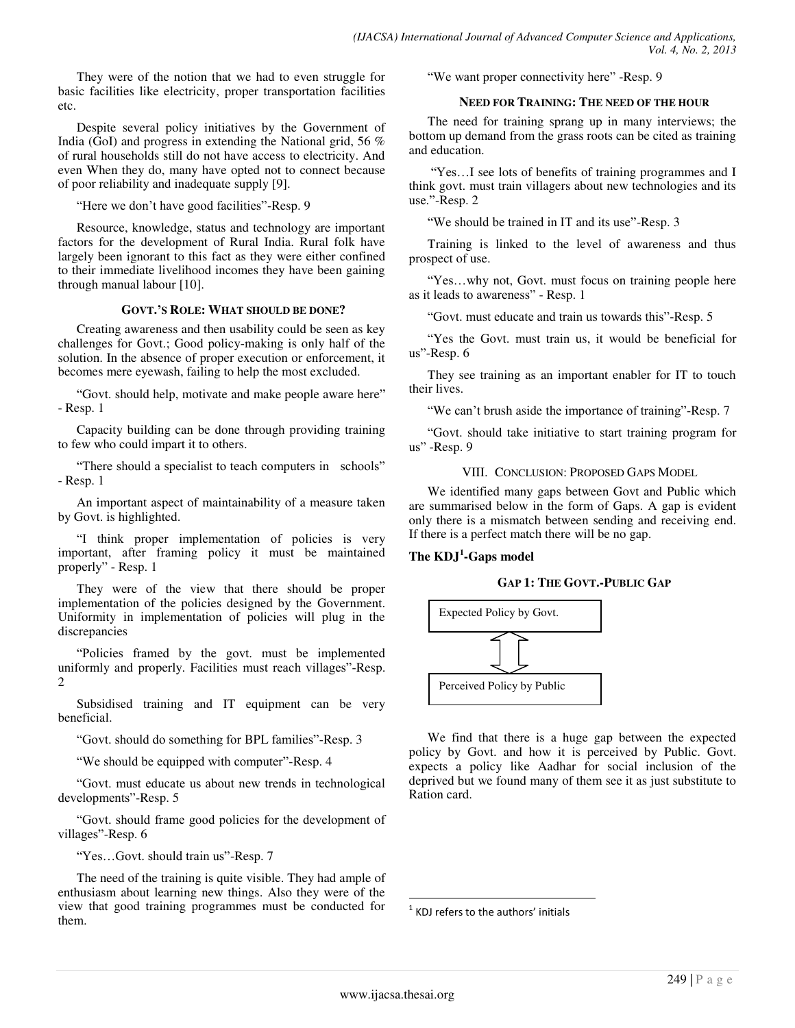They were of the notion that we had to even struggle for basic facilities like electricity, proper transportation facilities etc.

Despite several policy initiatives by the Government of India (GoI) and progress in extending the National grid, 56 % of rural households still do not have access to electricity. And even When they do, many have opted not to connect because of poor reliability and inadequate supply [9].

"Here we don't have good facilities"-Resp. 9

Resource, knowledge, status and technology are important factors for the development of Rural India. Rural folk have largely been ignorant to this fact as they were either confined to their immediate livelihood incomes they have been gaining through manual labour [10].

## **GOVT.'S ROLE: WHAT SHOULD BE DONE?**

Creating awareness and then usability could be seen as key challenges for Govt.; Good policy-making is only half of the solution. In the absence of proper execution or enforcement, it becomes mere eyewash, failing to help the most excluded.

"Govt. should help, motivate and make people aware here" - Resp. 1

Capacity building can be done through providing training to few who could impart it to others.

"There should a specialist to teach computers in schools" - Resp. 1

An important aspect of maintainability of a measure taken by Govt. is highlighted.

"I think proper implementation of policies is very important, after framing policy it must be maintained properly" - Resp. 1

They were of the view that there should be proper implementation of the policies designed by the Government. Uniformity in implementation of policies will plug in the discrepancies

"Policies framed by the govt. must be implemented uniformly and properly. Facilities must reach villages"-Resp. 2

Subsidised training and IT equipment can be very beneficial.

"Govt. should do something for BPL families"-Resp. 3

"We should be equipped with computer"-Resp. 4

"Govt. must educate us about new trends in technological developments"-Resp. 5

"Govt. should frame good policies for the development of villages"-Resp. 6

"Yes…Govt. should train us"-Resp. 7

The need of the training is quite visible. They had ample of enthusiasm about learning new things. Also they were of the view that good training programmes must be conducted for them.

"We want proper connectivity here" -Resp. 9

# **NEED FOR TRAINING: THE NEED OF THE HOUR**

The need for training sprang up in many interviews; the bottom up demand from the grass roots can be cited as training and education.

"Yes…I see lots of benefits of training programmes and I think govt. must train villagers about new technologies and its use."-Resp. 2

"We should be trained in IT and its use"-Resp. 3

Training is linked to the level of awareness and thus prospect of use.

"Yes…why not, Govt. must focus on training people here as it leads to awareness" - Resp. 1

"Govt. must educate and train us towards this"-Resp. 5

"Yes the Govt. must train us, it would be beneficial for us"-Resp. 6

They see training as an important enabler for IT to touch their lives.

"We can't brush aside the importance of training"-Resp. 7

"Govt. should take initiative to start training program for us" -Resp. 9

VIII. CONCLUSION: PROPOSED GAPS MODEL

We identified many gaps between Govt and Public which are summarised below in the form of Gaps. A gap is evident only there is a mismatch between sending and receiving end. If there is a perfect match there will be no gap.

# **The KDJ<sup>1</sup> -Gaps model**

## **GAP 1: THE GOVT.-PUBLIC GAP**



We find that there is a huge gap between the expected policy by Govt. and how it is perceived by Public. Govt. expects a policy like Aadhar for social inclusion of the deprived but we found many of them see it as just substitute to Ration card.

 $<sup>1</sup>$  KDJ refers to the authors' initials</sup>

l